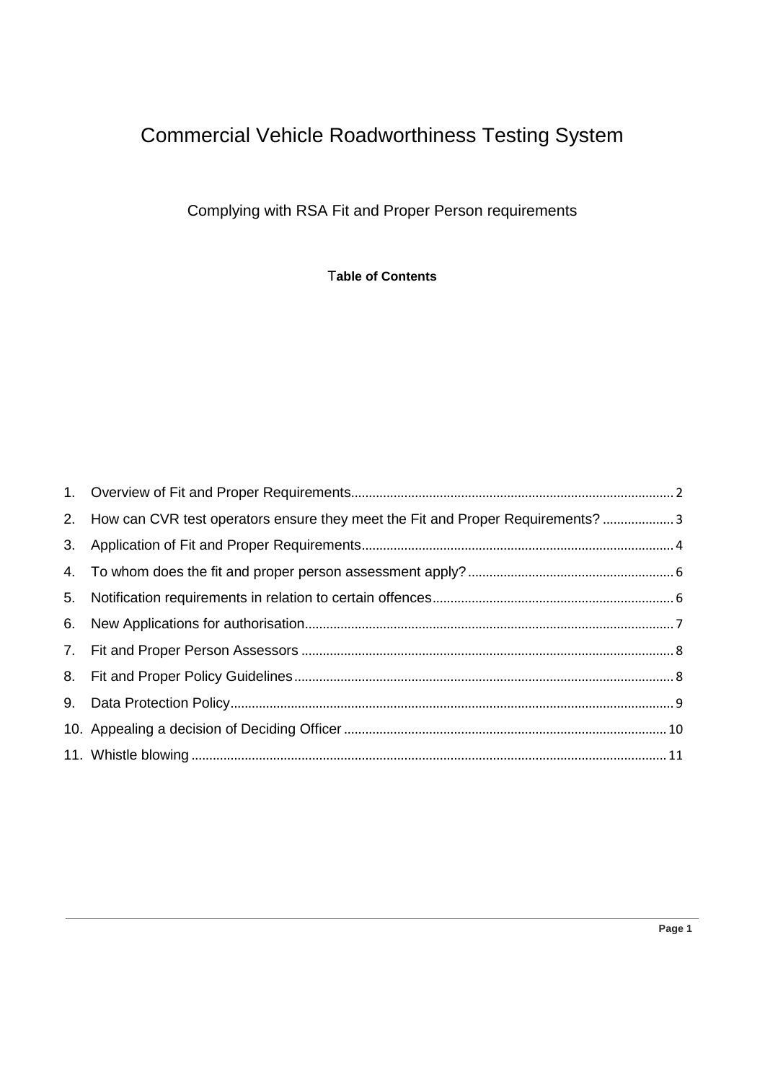# Commercial Vehicle Roadworthiness Testing System

Complying with RSA Fit and Proper Person requirements

T**able of Contents**

| 2. How can CVR test operators ensure they meet the Fit and Proper Requirements?  3 |  |
|------------------------------------------------------------------------------------|--|
|                                                                                    |  |
|                                                                                    |  |
|                                                                                    |  |
|                                                                                    |  |
|                                                                                    |  |
|                                                                                    |  |
|                                                                                    |  |
|                                                                                    |  |
|                                                                                    |  |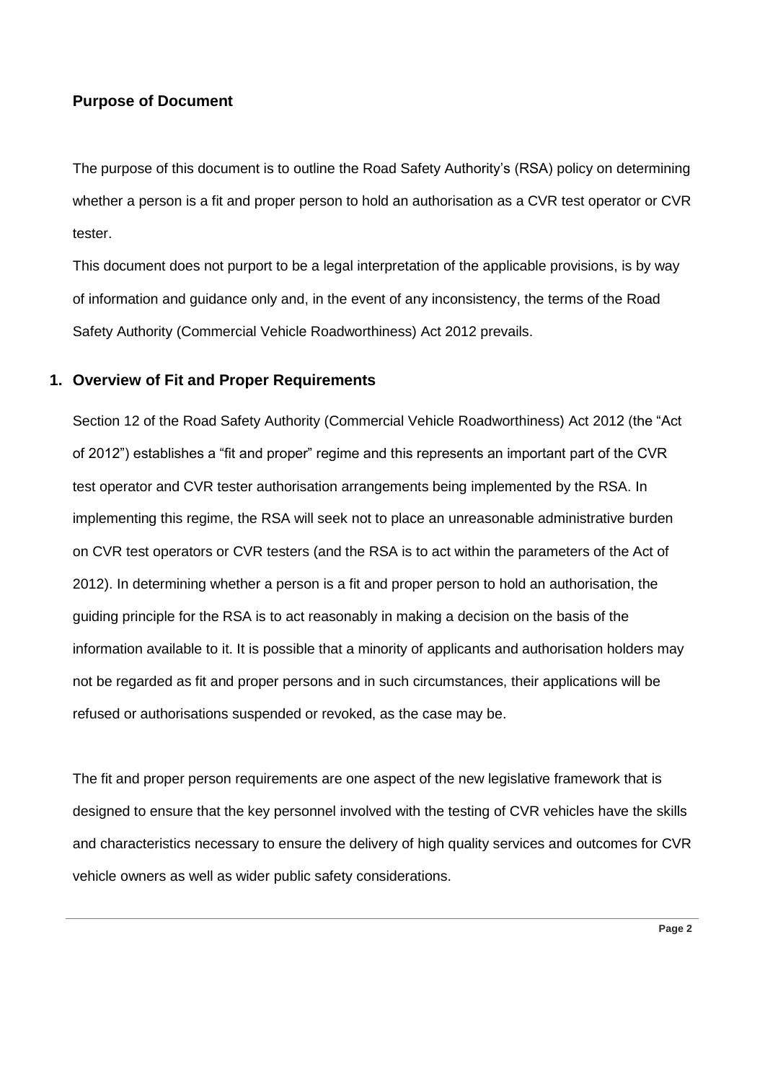#### **Purpose of Document**

The purpose of this document is to outline the Road Safety Authority's (RSA) policy on determining whether a person is a fit and proper person to hold an authorisation as a CVR test operator or CVR tester.

This document does not purport to be a legal interpretation of the applicable provisions, is by way of information and guidance only and, in the event of any inconsistency, the terms of the Road Safety Authority (Commercial Vehicle Roadworthiness) Act 2012 prevails.

#### <span id="page-1-0"></span>**1. Overview of Fit and Proper Requirements**

Section 12 of the Road Safety Authority (Commercial Vehicle Roadworthiness) Act 2012 (the "Act of 2012") establishes a "fit and proper" regime and this represents an important part of the CVR test operator and CVR tester authorisation arrangements being implemented by the RSA. In implementing this regime, the RSA will seek not to place an unreasonable administrative burden on CVR test operators or CVR testers (and the RSA is to act within the parameters of the Act of 2012). In determining whether a person is a fit and proper person to hold an authorisation, the guiding principle for the RSA is to act reasonably in making a decision on the basis of the information available to it. It is possible that a minority of applicants and authorisation holders may not be regarded as fit and proper persons and in such circumstances, their applications will be refused or authorisations suspended or revoked, as the case may be.

The fit and proper person requirements are one aspect of the new legislative framework that is designed to ensure that the key personnel involved with the testing of CVR vehicles have the skills and characteristics necessary to ensure the delivery of high quality services and outcomes for CVR vehicle owners as well as wider public safety considerations.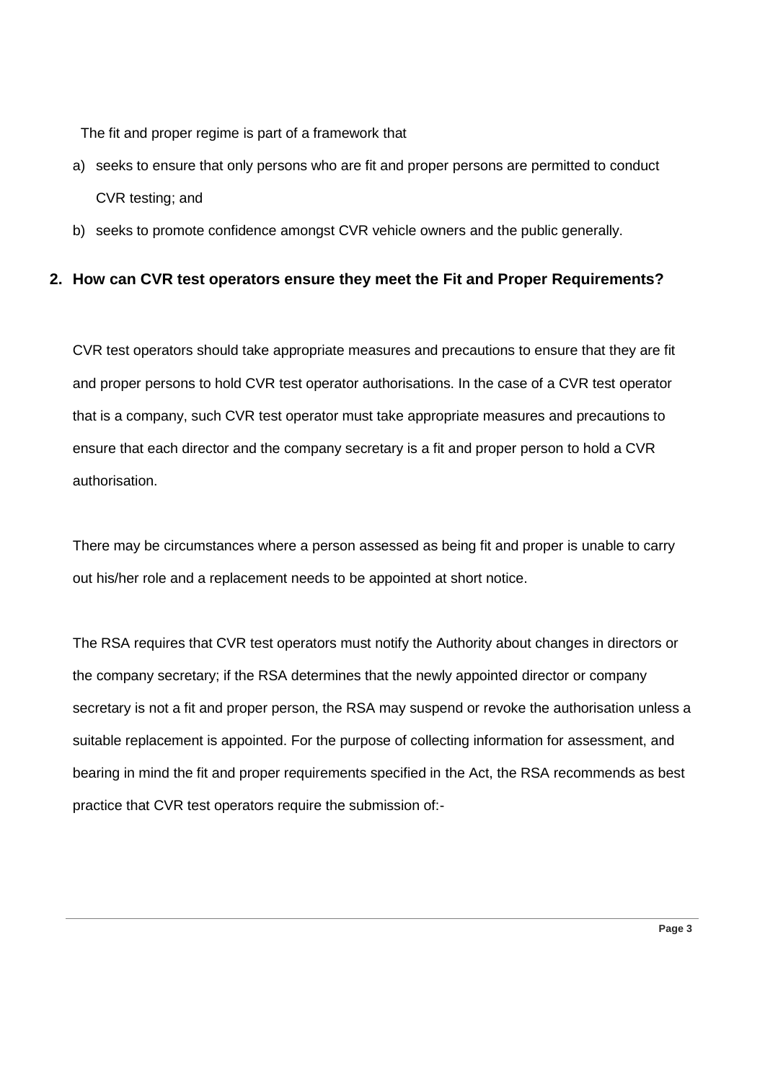The fit and proper regime is part of a framework that

- a) seeks to ensure that only persons who are fit and proper persons are permitted to conduct CVR testing; and
- b) seeks to promote confidence amongst CVR vehicle owners and the public generally.

## <span id="page-2-0"></span>**2. How can CVR test operators ensure they meet the Fit and Proper Requirements?**

CVR test operators should take appropriate measures and precautions to ensure that they are fit and proper persons to hold CVR test operator authorisations. In the case of a CVR test operator that is a company, such CVR test operator must take appropriate measures and precautions to ensure that each director and the company secretary is a fit and proper person to hold a CVR authorisation.

There may be circumstances where a person assessed as being fit and proper is unable to carry out his/her role and a replacement needs to be appointed at short notice.

The RSA requires that CVR test operators must notify the Authority about changes in directors or the company secretary; if the RSA determines that the newly appointed director or company secretary is not a fit and proper person, the RSA may suspend or revoke the authorisation unless a suitable replacement is appointed. For the purpose of collecting information for assessment, and bearing in mind the fit and proper requirements specified in the Act, the RSA recommends as best practice that CVR test operators require the submission of:-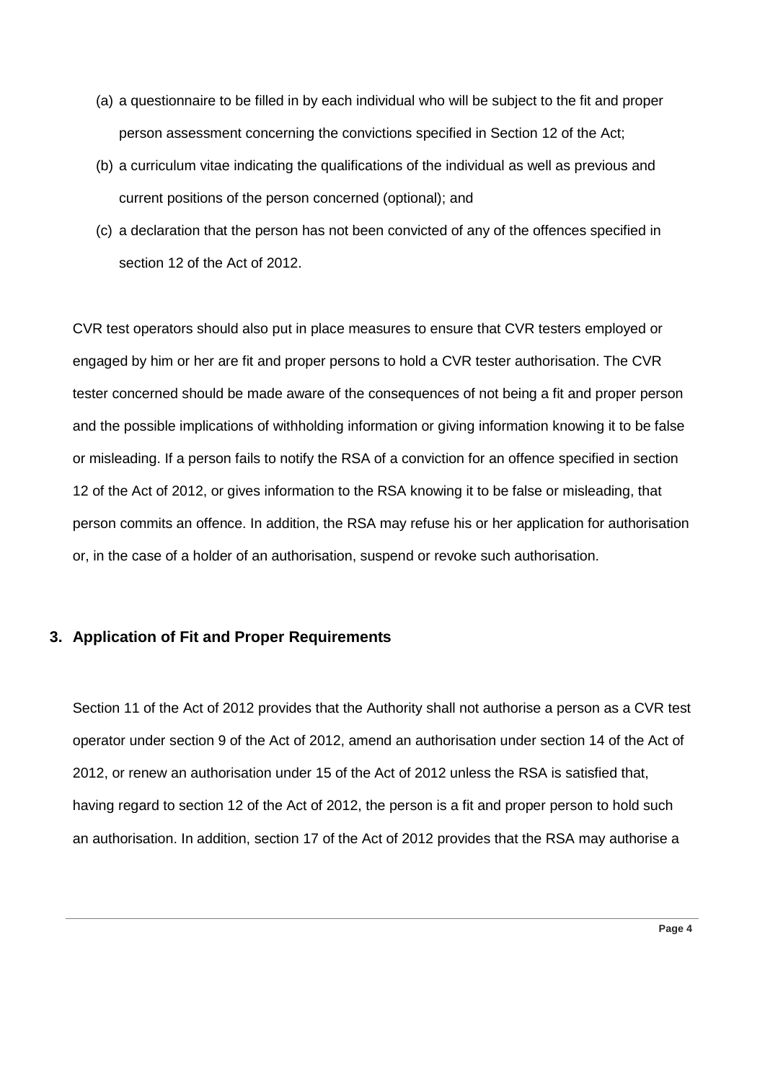- (a) a questionnaire to be filled in by each individual who will be subject to the fit and proper person assessment concerning the convictions specified in Section 12 of the Act;
- (b) a curriculum vitae indicating the qualifications of the individual as well as previous and current positions of the person concerned (optional); and
- (c) a declaration that the person has not been convicted of any of the offences specified in section 12 of the Act of 2012.

CVR test operators should also put in place measures to ensure that CVR testers employed or engaged by him or her are fit and proper persons to hold a CVR tester authorisation. The CVR tester concerned should be made aware of the consequences of not being a fit and proper person and the possible implications of withholding information or giving information knowing it to be false or misleading. If a person fails to notify the RSA of a conviction for an offence specified in section 12 of the Act of 2012, or gives information to the RSA knowing it to be false or misleading, that person commits an offence. In addition, the RSA may refuse his or her application for authorisation or, in the case of a holder of an authorisation, suspend or revoke such authorisation.

#### <span id="page-3-0"></span>**3. Application of Fit and Proper Requirements**

Section 11 of the Act of 2012 provides that the Authority shall not authorise a person as a CVR test operator under [section 9](http://www.irishstatutebook.ie/2012/en/act/pub/0016/print.html#sec9) of the Act of 2012, amend an authorisation under [section 14](http://www.irishstatutebook.ie/2012/en/act/pub/0016/print.html#sec14) of the Act of 2012, or renew an authorisation under [15](http://www.irishstatutebook.ie/2012/en/act/pub/0016/print.html#sec15) of the Act of 2012 unless the RSA is satisfied that, having regard to section 12 of the Act of 2012, the person is a fit and proper person to hold such an authorisation. In addition, section 17 of the Act of 2012 provides that the RSA may authorise a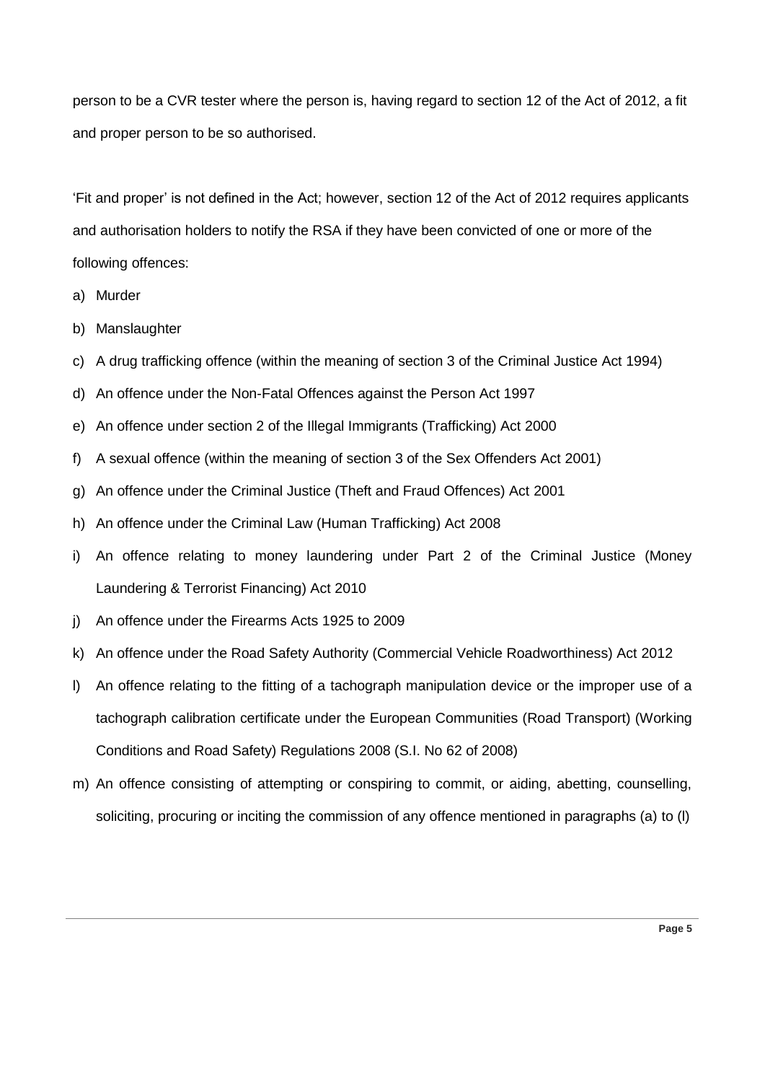person to be a CVR tester where the person is, having regard to section 12 of the Act of 2012, a fit and proper person to be so authorised.

'Fit and proper' is not defined in the Act; however, section 12 of the Act of 2012 requires applicants and authorisation holders to notify the RSA if they have been convicted of one or more of the following offences:

- a) Murder
- b) Manslaughter
- c) A drug trafficking offence (within the meaning of section 3 of the Criminal Justice Act 1994)
- d) An offence under the Non-Fatal Offences against the Person Act 1997
- e) An offence under section 2 of the Illegal Immigrants (Trafficking) Act 2000
- f) A sexual offence (within the meaning of section 3 of the Sex Offenders Act 2001)
- g) An offence under the Criminal Justice (Theft and Fraud Offences) Act 2001
- h) An offence under the Criminal Law (Human Trafficking) Act 2008
- i) An offence relating to money laundering under Part 2 of the Criminal Justice (Money Laundering & Terrorist Financing) Act 2010
- j) An offence under the Firearms Acts 1925 to 2009
- k) An offence under the Road Safety Authority (Commercial Vehicle Roadworthiness) Act 2012
- l) An offence relating to the fitting of a tachograph manipulation device or the improper use of a tachograph calibration certificate under the European Communities (Road Transport) (Working Conditions and Road Safety) Regulations 2008 (S.I. No 62 of 2008)
- m) An offence consisting of attempting or conspiring to commit, or aiding, abetting, counselling, soliciting, procuring or inciting the commission of any offence mentioned in paragraphs (a) to (l)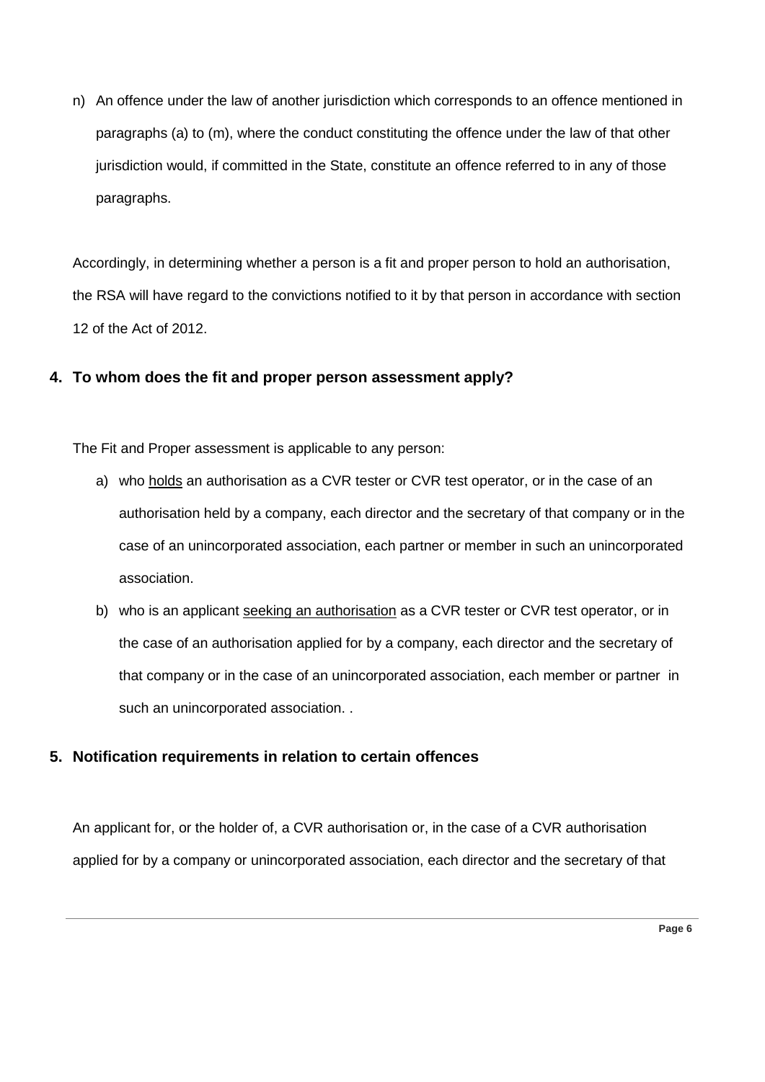n) An offence under the law of another jurisdiction which corresponds to an offence mentioned in paragraphs (a) to (m), where the conduct constituting the offence under the law of that other jurisdiction would, if committed in the State, constitute an offence referred to in any of those paragraphs.

Accordingly, in determining whether a person is a fit and proper person to hold an authorisation, the RSA will have regard to the convictions notified to it by that person in accordance with section 12 of the Act of 2012.

## <span id="page-5-0"></span>**4. To whom does the fit and proper person assessment apply?**

The Fit and Proper assessment is applicable to any person:

- a) who holds an authorisation as a CVR tester or CVR test operator, or in the case of an authorisation held by a company, each director and the secretary of that company or in the case of an unincorporated association, each partner or member in such an unincorporated association.
- b) who is an applicant seeking an authorisation as a CVR tester or CVR test operator, or in the case of an authorisation applied for by a company, each director and the secretary of that company or in the case of an unincorporated association, each member or partner in such an unincorporated association. .

## <span id="page-5-1"></span>**5. Notification requirements in relation to certain offences**

An applicant for, or the holder of, a CVR authorisation or, in the case of a CVR authorisation applied for by a company or unincorporated association, each director and the secretary of that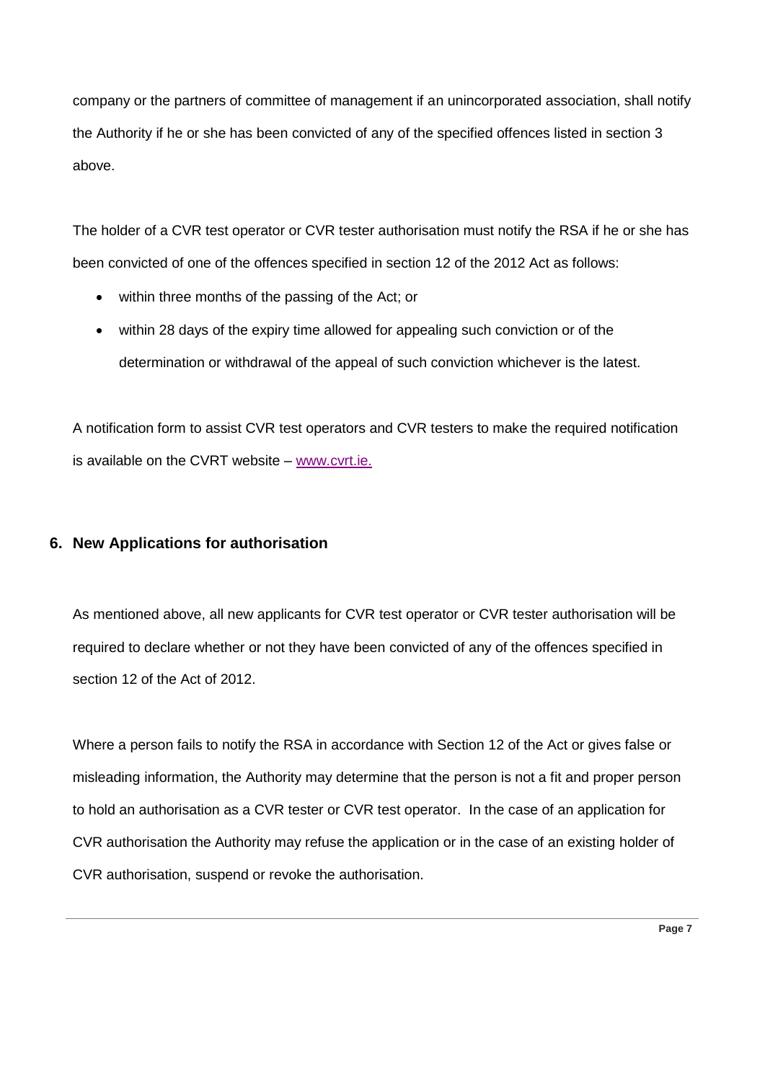company or the partners of committee of management if an unincorporated association, shall notify the Authority if he or she has been convicted of any of the specified offences listed in section 3 above.

The holder of a CVR test operator or CVR tester authorisation must notify the RSA if he or she has been convicted of one of the offences specified in section 12 of the 2012 Act as follows:

- within three months of the passing of the Act; or
- within 28 days of the expiry time allowed for appealing such conviction or of the determination or withdrawal of the appeal of such conviction whichever is the latest.

A notification form to assist CVR test operators and CVR testers to make the required notification is available on the CVRT website – [www.cvrt.ie](http://www.cvrt.ie/en/About-CVRT/Pages/Become-a-CVR-test-centre.aspx).

## <span id="page-6-0"></span>**6. New Applications for authorisation**

As mentioned above, all new applicants for CVR test operator or CVR tester authorisation will be required to declare whether or not they have been convicted of any of the offences specified in section 12 of the Act of 2012.

Where a person fails to notify the RSA in accordance with Section 12 of the Act or gives false or misleading information, the Authority may determine that the person is not a fit and proper person to hold an authorisation as a CVR tester or CVR test operator. In the case of an application for CVR authorisation the Authority may refuse the application or in the case of an existing holder of CVR authorisation, suspend or revoke the authorisation.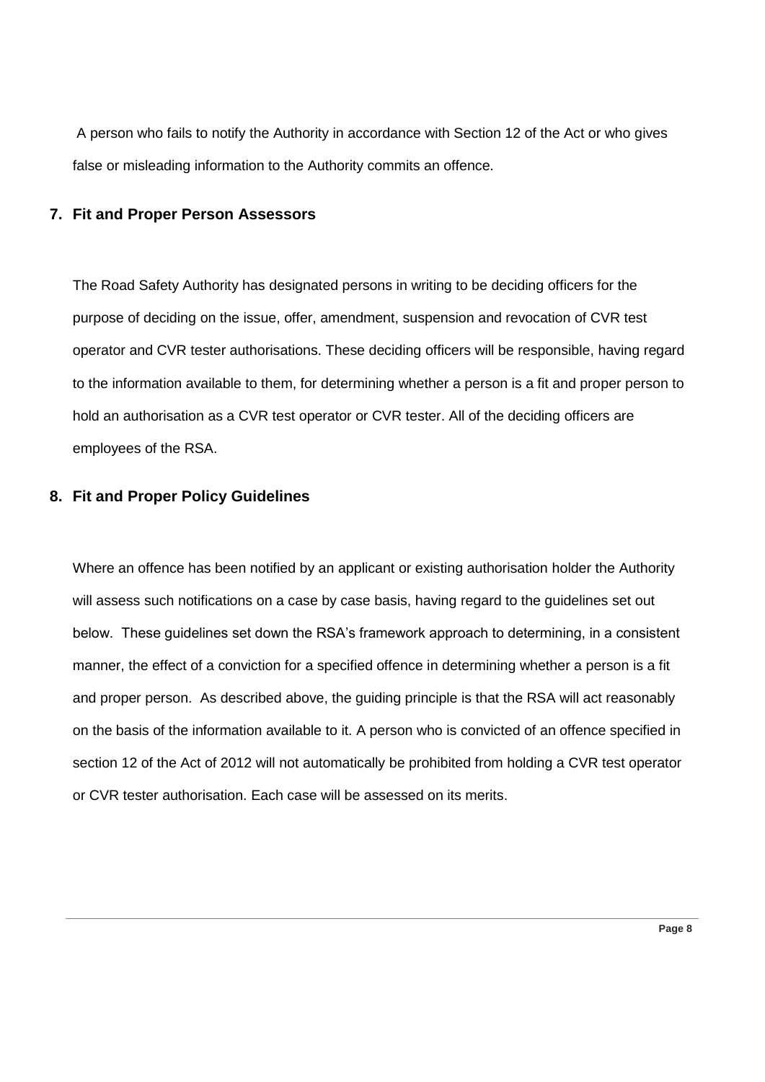A person who fails to notify the Authority in accordance with Section 12 of the Act or who gives false or misleading information to the Authority commits an offence.

#### <span id="page-7-0"></span>**7. Fit and Proper Person Assessors**

The Road Safety Authority has designated persons in writing to be deciding officers for the purpose of deciding on the issue, offer, amendment, suspension and revocation of CVR test operator and CVR tester authorisations. These deciding officers will be responsible, having regard to the information available to them, for determining whether a person is a fit and proper person to hold an authorisation as a CVR test operator or CVR tester. All of the deciding officers are employees of the RSA.

## <span id="page-7-1"></span>**8. Fit and Proper Policy Guidelines**

Where an offence has been notified by an applicant or existing authorisation holder the Authority will assess such notifications on a case by case basis, having regard to the guidelines set out below. These guidelines set down the RSA's framework approach to determining, in a consistent manner, the effect of a conviction for a specified offence in determining whether a person is a fit and proper person. As described above, the guiding principle is that the RSA will act reasonably on the basis of the information available to it. A person who is convicted of an offence specified in section 12 of the Act of 2012 will not automatically be prohibited from holding a CVR test operator or CVR tester authorisation. Each case will be assessed on its merits.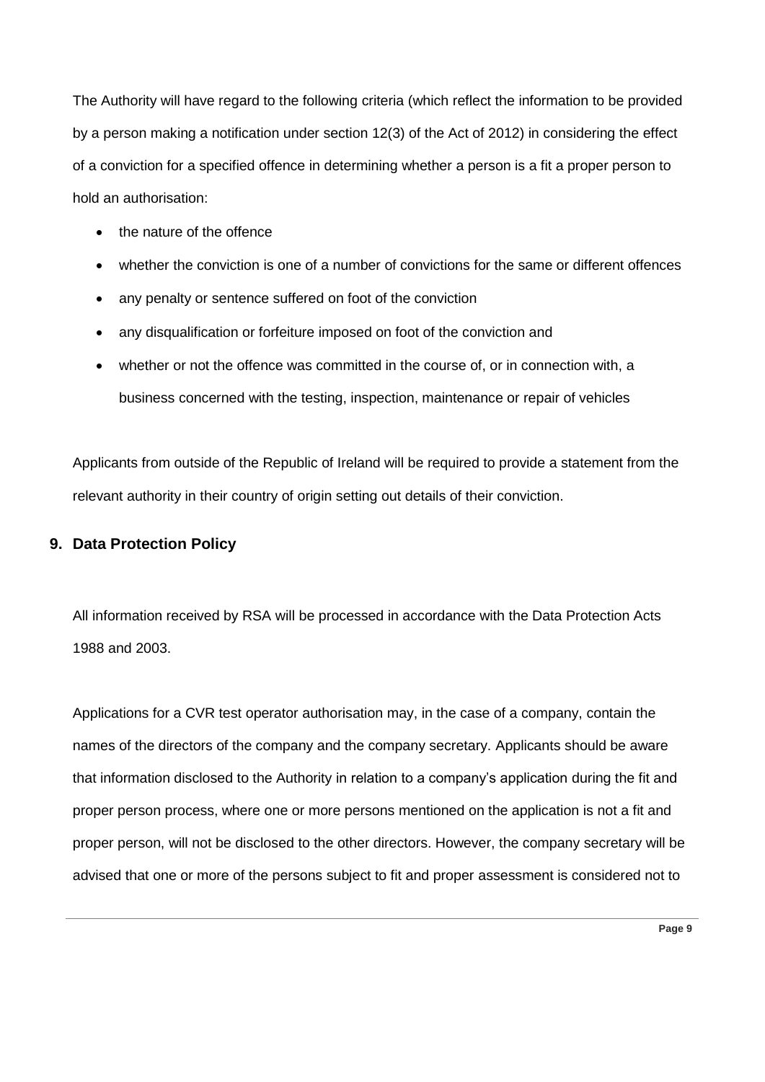The Authority will have regard to the following criteria (which reflect the information to be provided by a person making a notification under section 12(3) of the Act of 2012) in considering the effect of a conviction for a specified offence in determining whether a person is a fit a proper person to hold an authorisation:

- the nature of the offence
- whether the conviction is one of a number of convictions for the same or different offences
- any penalty or sentence suffered on foot of the conviction
- any disqualification or forfeiture imposed on foot of the conviction and
- whether or not the offence was committed in the course of, or in connection with, a business concerned with the testing, inspection, maintenance or repair of vehicles

Applicants from outside of the Republic of Ireland will be required to provide a statement from the relevant authority in their country of origin setting out details of their conviction.

#### <span id="page-8-0"></span>**9. Data Protection Policy**

All information received by RSA will be processed in accordance with the Data Protection Acts 1988 and 2003.

Applications for a CVR test operator authorisation may, in the case of a company, contain the names of the directors of the company and the company secretary. Applicants should be aware that information disclosed to the Authority in relation to a company's application during the fit and proper person process, where one or more persons mentioned on the application is not a fit and proper person, will not be disclosed to the other directors. However, the company secretary will be advised that one or more of the persons subject to fit and proper assessment is considered not to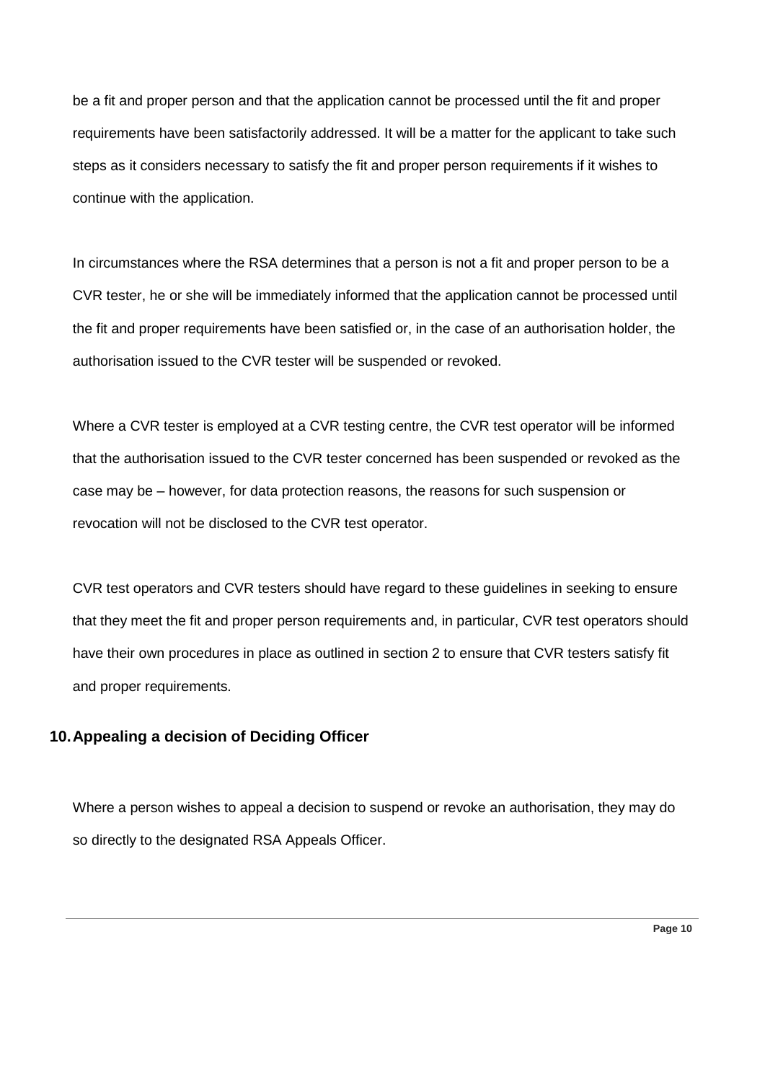be a fit and proper person and that the application cannot be processed until the fit and proper requirements have been satisfactorily addressed. It will be a matter for the applicant to take such steps as it considers necessary to satisfy the fit and proper person requirements if it wishes to continue with the application.

In circumstances where the RSA determines that a person is not a fit and proper person to be a CVR tester, he or she will be immediately informed that the application cannot be processed until the fit and proper requirements have been satisfied or, in the case of an authorisation holder, the authorisation issued to the CVR tester will be suspended or revoked.

Where a CVR tester is employed at a CVR testing centre, the CVR test operator will be informed that the authorisation issued to the CVR tester concerned has been suspended or revoked as the case may be – however, for data protection reasons, the reasons for such suspension or revocation will not be disclosed to the CVR test operator.

CVR test operators and CVR testers should have regard to these guidelines in seeking to ensure that they meet the fit and proper person requirements and, in particular, CVR test operators should have their own procedures in place as outlined in section 2 to ensure that CVR testers satisfy fit and proper requirements.

## <span id="page-9-0"></span>**10.Appealing a decision of Deciding Officer**

Where a person wishes to appeal a decision to suspend or revoke an authorisation, they may do so directly to the designated RSA Appeals Officer.